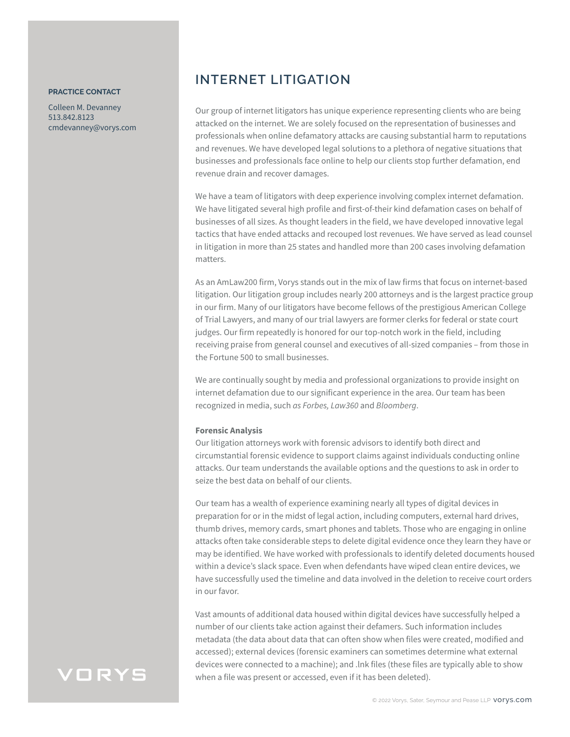#### **PRACTICE CONTACT**

Colleen M. Devanney 513.842.8123 cmdevanney@vorys.com

### **INTERNET LITIGATION**

Our group of internet litigators has unique experience representing clients who are being attacked on the internet. We are solely focused on the representation of businesses and professionals when online defamatory attacks are causing substantial harm to reputations and revenues. We have developed legal solutions to a plethora of negative situations that businesses and professionals face online to help our clients stop further defamation, end revenue drain and recover damages.

We have a team of litigators with deep experience involving complex internet defamation. We have litigated several high profile and first-of-their kind defamation cases on behalf of businesses of all sizes. As thought leaders in the field, we have developed innovative legal tactics that have ended attacks and recouped lost revenues. We have served as lead counsel in litigation in more than 25 states and handled more than 200 cases involving defamation matters.

As an AmLaw200 firm, Vorys stands out in the mix of law firms that focus on internet-based litigation. Our litigation group includes nearly 200 attorneys and is the largest practice group in our firm. Many of our litigators have become fellows of the prestigious American College of Trial Lawyers, and many of our trial lawyers are former clerks for federal or state court judges. Our firm repeatedly is honored for our top-notch work in the field, including receiving praise from general counsel and executives of all-sized companies – from those in the Fortune 500 to small businesses.

We are continually sought by media and professional organizations to provide insight on internet defamation due to our significant experience in the area. Our team has been recognized in media, such *as Forbes, Law360* and *Bloomberg*.

#### **Forensic Analysis**

Our litigation attorneys work with forensic advisors to identify both direct and circumstantial forensic evidence to support claims against individuals conducting online attacks. Our team understands the available options and the questions to ask in order to seize the best data on behalf of our clients.

Our team has a wealth of experience examining nearly all types of digital devices in preparation for or in the midst of legal action, including computers, external hard drives, thumb drives, memory cards, smart phones and tablets. Those who are engaging in online attacks often take considerable steps to delete digital evidence once they learn they have or may be identified. We have worked with professionals to identify deleted documents housed within a device's slack space. Even when defendants have wiped clean entire devices, we have successfully used the timeline and data involved in the deletion to receive court orders in our favor.

Vast amounts of additional data housed within digital devices have successfully helped a number of our clients take action against their defamers. Such information includes metadata (the data about data that can often show when files were created, modified and accessed); external devices (forensic examiners can sometimes determine what external devices were connected to a machine); and .lnk files (these files are typically able to show when a file was present or accessed, even if it has been deleted).

### VORYS